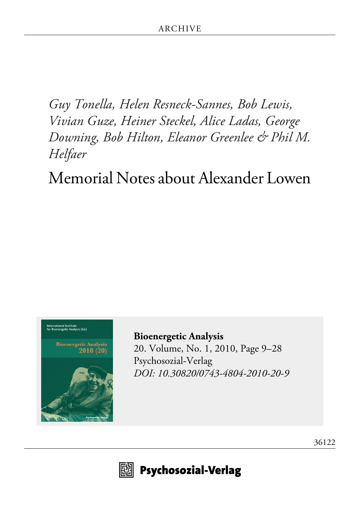*Guy Tonella, Helen Resneck-Sannes, Bob Lewis, Vivian Guze, Heiner Steckel, Alice Ladas, George Downing, Bob Hilton, Eleanor Greenlee & Phil M. Helfaer*

Memorial Notes about Alexander Lowen



**[Bioenergetic Analysis](http://www.psychosozial-verlag.de/2044)** [20. Volume, No. 1, 2010, Page 9–28](http://www.psychosozial-verlag.de/2044) [Psychosozial-Verlag](http://www.psychosozial-verlag.de/2044) *[DOI: 10.30820/0743-4804-2010-20-9](https://doi.org/10.30820/0743-4804-2010-20-9)*



 $\mathbb{E}$  Psychosozial-Verlag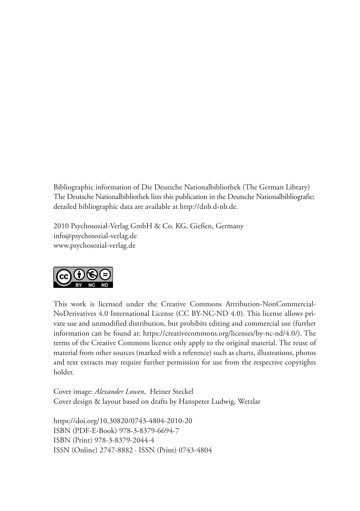Bibliographic information of Die Deutsche Nationalbibliothek (The German Library) The Deutsche Nationalbibliothek lists this publication in the Deutsche Nationalbibliografie; detailed bibliographic data are available at http://dnb.d-nb.de.

2010 Psychosozial-Verlag GmbH & Co. KG, Gießen, Germany info@psychosozial-verlag.de www.psychosozial-verlag.de



This work is licensed under the Creative Commons Attribution-NonCommercial-NoDerivatives 4.0 International License (CC BY-NC-ND 4.0). This license allows private use and unmodified distribution, but prohibits editing and commercial use (further information can be found at: https://creativecommons.org/licenses/by-nc-nd/4.0/). The terms of the Creative Commons licence only apply to the original material. The reuse of material from other sources (marked with a reference) such as charts, illustrations, photos and text extracts may require further permission for use from the respective copyrights holder.

Cover image: *Alexander Lowen*, Heiner Steckel Cover design & layout based on drafts by Hanspeter Ludwig, Wetzlar

https://doi.org/10.30820/0743-4804-2010-20 ISBN (PDF-E-Book) 978-3-8379-6694-7 ISBN (Print) 978-3-8379-2044-4 ISSN (Online) 2747-8882 · ISSN (Print) 0743-4804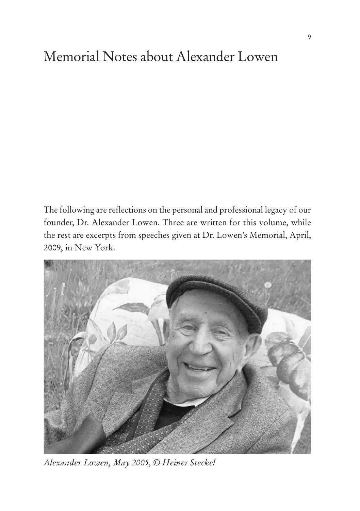# Memorial Notes about Alexander Lowen

The following are reflections on the personal and professional legacy of our founder, Dr. Alexander Lowen. Three are written for this volume, while the rest are excerpts from speeches given at Dr. Lowen's Memorial, April, 2009, in New York.



*Alexander Lowen, May 2005, © Heiner Steckel*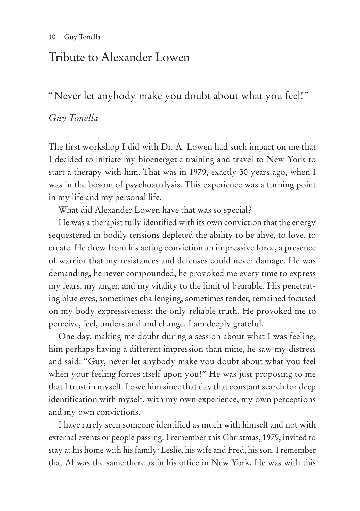## Tribute to Alexander Lowen

"Never let anybody make you doubt about what you feel!"

#### *Guy Tonella*

The first workshop I did with Dr. A. Lowen had such impact on me that I decided to initiate my bioenergetic training and travel to New York to start a therapy with him. That was in 1979, exactly 30 years ago, when I was in the bosom of psychoanalysis. This experience was a turning point in my life and my personal life.

What did Alexander Lowen have that was so special?

He was a therapist fully identified with its own conviction that the energy sequestered in bodily tensions depleted the ability to be alive, to love, to create. He drew from his acting conviction an impressive force, a presence of warrior that my resistances and defenses could never damage. He was demanding, he never compounded, he provoked me every time to express my fears, my anger, and my vitality to the limit of bearable. His penetrating blue eyes, sometimes challenging, sometimes tender, remained focused on my body expressiveness: the only reliable truth. He provoked me to perceive, feel, understand and change. I am deeply grateful.

One day, making me doubt during a session about what I was feeling, him perhaps having a different impression than mine, he saw my distress and said: "Guy, never let anybody make you doubt about what you feel when your feeling forces itself upon you!" He was just proposing to me that I trust in myself. I owe him since that day that constant search for deep identification with myself, with my own experience, my own perceptions and my own convictions.

I have rarely seen someone identified as much with himself and not with external events or people passing. I remember this Christmas, 1979, invited to stay at his home with his family: Leslie, his wife and Fred, his son. I remember that Al was the same there as in his office in New York. He was with this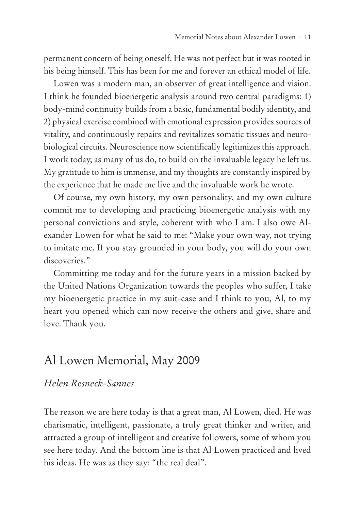permanent concern of being oneself. He was not perfect but it was rooted in his being himself. This has been for me and forever an ethical model of life.

Lowen was a modern man, an observer of great intelligence and vision. I think he founded bioenergetic analysis around two central paradigms: 1) body-mind continuity builds from a basic, fundamental bodily identity, and 2) physical exercise combined with emotional expression provides sources of vitality, and continuously repairs and revitalizes somatic tissues and neurobiological circuits. Neuroscience now scientifically legitimizes this approach. I work today, as many of us do, to build on the invaluable legacy he left us. My gratitude to him is immense, and my thoughts are constantly inspired by the experience that he made me live and the invaluable work he wrote.

Of course, my own history, my own personality, and my own culture commit me to developing and practicing bioenergetic analysis with my personal convictions and style, coherent with who I am. I also owe Alexander Lowen for what he said to me: "Make your own way, not trying to imitate me. If you stay grounded in your body, you will do your own discoveries."

Committing me today and for the future years in a mission backed by the United Nations Organization towards the peoples who suffer, I take my bioenergetic practice in my suit-case and I think to you, Al, to my heart you opened which can now receive the others and give, share and love. Thank you.

## Al Lowen Memorial, May 2009

#### *Helen Resneck-Sannes*

The reason we are here today is that a great man, Al Lowen, died. He was charismatic, intelligent, passionate, a truly great thinker and writer, and attracted a group of intelligent and creative followers, some of whom you see here today. And the bottom line is that Al Lowen practiced and lived his ideas. He was as they say: "the real deal".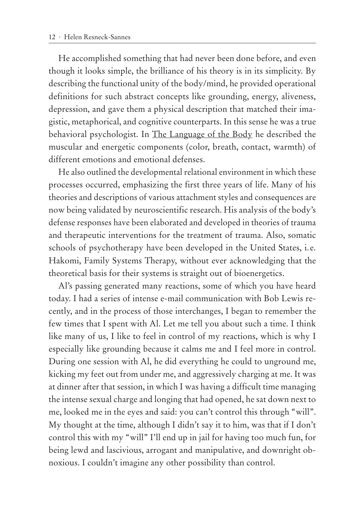He accomplished something that had never been done before, and even though it looks simple, the brilliance of his theory is in its simplicity. By describing the functional unity of the body/mind, he provided operational definitions for such abstract concepts like grounding, energy, aliveness, depression, and gave them a physical description that matched their imagistic, metaphorical, and cognitive counterparts. In this sense he was a true behavioral psychologist. In The Language of the Body he described the muscular and energetic components (color, breath, contact, warmth) of different emotions and emotional defenses.

He also outlined the developmental relational environment in which these processes occurred, emphasizing the first three years of life. Many of his theories and descriptions of various attachment styles and consequences are now being validated by neuroscientific research. His analysis of the body's defense responses have been elaborated and developed in theories of trauma and therapeutic interventions for the treatment of trauma. Also, somatic schools of psychotherapy have been developed in the United States, i.e. Hakomi, Family Systems Therapy, without ever acknowledging that the theoretical basis for their systems is straight out of bioenergetics.

Al's passing generated many reactions, some of which you have heard today. I had a series of intense e-mail communication with Bob Lewis recently, and in the process of those interchanges, I began to remember the few times that I spent with Al. Let me tell you about such a time. I think like many of us, I like to feel in control of my reactions, which is why I especially like grounding because it calms me and I feel more in control. During one session with Al, he did everything he could to unground me, kicking my feet out from under me, and aggressively charging at me. It was at dinner after that session, in which I was having a difficult time managing the intense sexual charge and longing that had opened, he sat down next to me, looked me in the eyes and said: you can't control this through "will". My thought at the time, although I didn't say it to him, was that if I don't control this with my "will" I'll end up in jail for having too much fun, for being lewd and lascivious, arrogant and manipulative, and downright obnoxious. I couldn't imagine any other possibility than control.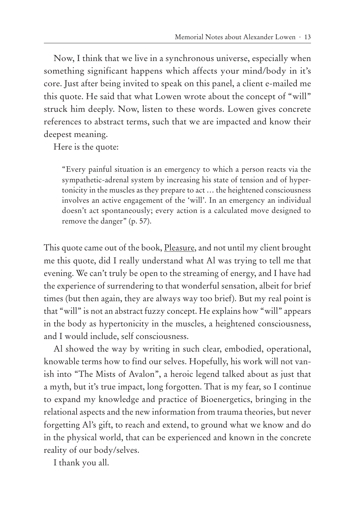Now, I think that we live in a synchronous universe, especially when something significant happens which affects your mind/body in it's core. Just after being invited to speak on this panel, a client e-mailed me this quote. He said that what Lowen wrote about the concept of "will" struck him deeply. Now, listen to these words. Lowen gives concrete references to abstract terms, such that we are impacted and know their deepest meaning.

Here is the quote:

"Every painful situation is an emergency to which a person reacts via the sympathetic-adrenal system by increasing his state of tension and of hypertonicity in the muscles as they prepare to act … the heightened consciousness involves an active engagement of the 'will'. In an emergency an individual doesn't act spontaneously; every action is a calculated move designed to remove the danger" (p. 57).

This quote came out of the book, Pleasure, and not until my client brought me this quote, did I really understand what Al was trying to tell me that evening. We can't truly be open to the streaming of energy, and I have had the experience of surrendering to that wonderful sensation, albeit for brief times (but then again, they are always way too brief). But my real point is that "will" is not an abstract fuzzy concept. He explains how "will" appears in the body as hypertonicity in the muscles, a heightened consciousness, and I would include, self consciousness.

Al showed the way by writing in such clear, embodied, operational, knowable terms how to find our selves. Hopefully, his work will not vanish into "The Mists of Avalon", a heroic legend talked about as just that a myth, but it's true impact, long forgotten. That is my fear, so I continue to expand my knowledge and practice of Bioenergetics, bringing in the relational aspects and the new information from trauma theories, but never forgetting Al's gift, to reach and extend, to ground what we know and do in the physical world, that can be experienced and known in the concrete reality of our body/selves.

I thank you all.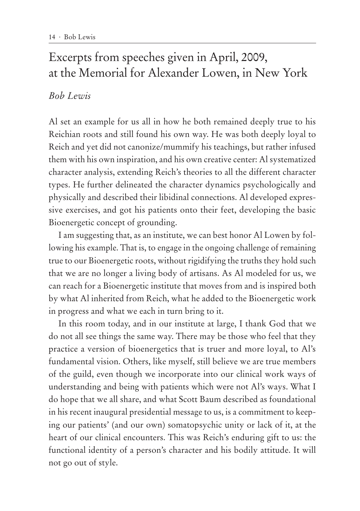# Excerpts from speeches given in April, 2009, at the Memorial for Alexander Lowen, in New York

### *Bob Lewis*

Al set an example for us all in how he both remained deeply true to his Reichian roots and still found his own way. He was both deeply loyal to Reich and yet did not canonize/mummify his teachings, but rather infused them with his own inspiration, and his own creative center: Al systematized character analysis, extending Reich's theories to all the different character types. He further delineated the character dynamics psychologically and physically and described their libidinal connections. Al developed expressive exercises, and got his patients onto their feet, developing the basic Bioenergetic concept of grounding.

I am suggesting that, as an institute, we can best honor Al Lowen by following his example. That is, to engage in the ongoing challenge of remaining true to our Bioenergetic roots, without rigidifying the truths they hold such that we are no longer a living body of artisans. As Al modeled for us, we can reach for a Bioenergetic institute that moves from and is inspired both by what Al inherited from Reich, what he added to the Bioenergetic work in progress and what we each in turn bring to it.

In this room today, and in our institute at large, I thank God that we do not all see things the same way. There may be those who feel that they practice a version of bioenergetics that is truer and more loyal, to Al's fundamental vision. Others, like myself, still believe we are true members of the guild, even though we incorporate into our clinical work ways of understanding and being with patients which were not Al's ways. What I do hope that we all share, and what Scott Baum described as foundational in his recent inaugural presidential message to us, is a commitment to keeping our patients' (and our own) somatopsychic unity or lack of it, at the heart of our clinical encounters. This was Reich's enduring gift to us: the functional identity of a person's character and his bodily attitude. It will not go out of style.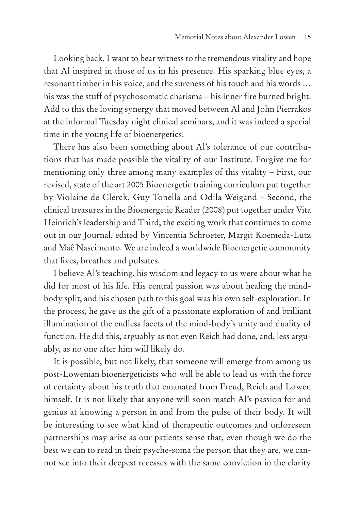Looking back, I want to bear witness to the tremendous vitality and hope that Al inspired in those of us in his presence. His sparking blue eyes, a resonant timber in his voice, and the sureness of his touch and his words … his was the stuff of psychosomatic charisma – his inner fire burned bright. Add to this the loving synergy that moved between Al and John Pierrakos at the informal Tuesday night clinical seminars, and it was indeed a special time in the young life of bioenergetics.

There has also been something about Al's tolerance of our contributions that has made possible the vitality of our Institute. Forgive me for mentioning only three among many examples of this vitality – First, our revised, state of the art 2005 Bioenergetic training curriculum put together by Violaine de Clerck, Guy Tonella and Odila Weigand – Second, the clinical treasures in the Bioenergetic Reader (2008) put together under Vita Heinrich's leadership and Third, the exciting work that continues to come out in our Journal, edited by Vincentia Schroeter, Margit Koemeda-Lutz and Maê Nascimento. We are indeed a worldwide Bioenergetic community that lives, breathes and pulsates.

I believe Al's teaching, his wisdom and legacy to us were about what he did for most of his life. His central passion was about healing the mindbody split, and his chosen path to this goal was his own self-exploration. In the process, he gave us the gift of a passionate exploration of and brilliant illumination of the endless facets of the mind-body's unity and duality of function. He did this, arguably as not even Reich had done, and, less arguably, as no one after him will likely do.

It is possible, but not likely, that someone will emerge from among us post-Lowenian bioenergeticists who will be able to lead us with the force of certainty about his truth that emanated from Freud, Reich and Lowen himself. It is not likely that anyone will soon match Al's passion for and genius at knowing a person in and from the pulse of their body. It will be interesting to see what kind of therapeutic outcomes and unforeseen partnerships may arise as our patients sense that, even though we do the best we can to read in their psyche-soma the person that they are, we cannot see into their deepest recesses with the same conviction in the clarity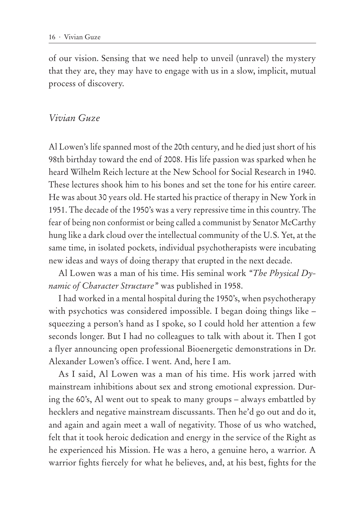of our vision. Sensing that we need help to unveil (unravel) the mystery that they are, they may have to engage with us in a slow, implicit, mutual process of discovery.

#### *Vivian Guze*

Al Lowen's life spanned most of the 20th century, and he died just short of his 98th birthday toward the end of 2008. His life passion was sparked when he heard Wilhelm Reich lecture at the New School for Social Research in 1940. These lectures shook him to his bones and set the tone for his entire career. He was about 30 years old. He started his practice of therapy in New York in 1951. The decade of the 1950's was a very repressive time in this country. The fear of being non conformist or being called a communist by Senator McCarthy hung like a dark cloud over the intellectual community of the U.S. Yet, at the same time, in isolated pockets, individual psychotherapists were incubating new ideas and ways of doing therapy that erupted in the next decade.

Al Lowen was a man of his time. His seminal work *"The Physical Dynamic of Character Structure"* was published in 1958.

I had worked in a mental hospital during the 1950's, when psychotherapy with psychotics was considered impossible. I began doing things like – squeezing a person's hand as I spoke, so I could hold her attention a few seconds longer. But I had no colleagues to talk with about it. Then I got a flyer announcing open professional Bioenergetic demonstrations in Dr. Alexander Lowen's office. I went. And, here I am.

As I said, Al Lowen was a man of his time. His work jarred with mainstream inhibitions about sex and strong emotional expression. During the 60's, Al went out to speak to many groups – always embattled by hecklers and negative mainstream discussants. Then he'd go out and do it, and again and again meet a wall of negativity. Those of us who watched, felt that it took heroic dedication and energy in the service of the Right as he experienced his Mission. He was a hero, a genuine hero, a warrior. A warrior fights fiercely for what he believes, and, at his best, fights for the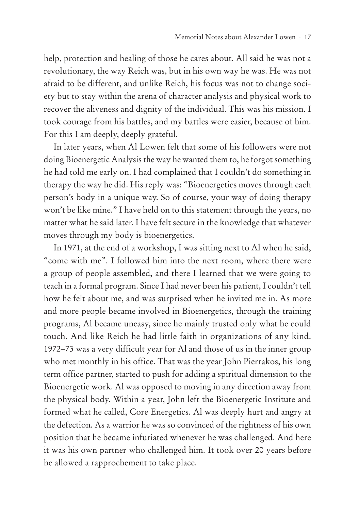help, protection and healing of those he cares about. All said he was not a revolutionary, the way Reich was, but in his own way he was. He was not afraid to be different, and unlike Reich, his focus was not to change society but to stay within the arena of character analysis and physical work to recover the aliveness and dignity of the individual. This was his mission. I took courage from his battles, and my battles were easier, because of him. For this I am deeply, deeply grateful.

In later years, when Al Lowen felt that some of his followers were not doing Bioenergetic Analysis the way he wanted them to, he forgot something he had told me early on. I had complained that I couldn't do something in therapy the way he did. His reply was: "Bioenergetics moves through each person's body in a unique way. So of course, your way of doing therapy won't be like mine." I have held on to this statement through the years, no matter what he said later. I have felt secure in the knowledge that whatever moves through my body is bioenergetics.

In 1971, at the end of a workshop, I was sitting next to Al when he said, "come with me". I followed him into the next room, where there were a group of people assembled, and there I learned that we were going to teach in a formal program. Since I had never been his patient, I couldn't tell how he felt about me, and was surprised when he invited me in. As more and more people became involved in Bioenergetics, through the training programs, Al became uneasy, since he mainly trusted only what he could touch. And like Reich he had little faith in organizations of any kind. 1972–73 was a very difficult year for Al and those of us in the inner group who met monthly in his office. That was the year John Pierrakos, his long term office partner, started to push for adding a spiritual dimension to the Bioenergetic work. Al was opposed to moving in any direction away from the physical body. Within a year, John left the Bioenergetic Institute and formed what he called, Core Energetics. Al was deeply hurt and angry at the defection. As a warrior he was so convinced of the rightness of his own position that he became infuriated whenever he was challenged. And here it was his own partner who challenged him. It took over 20 years before he allowed a rapprochement to take place.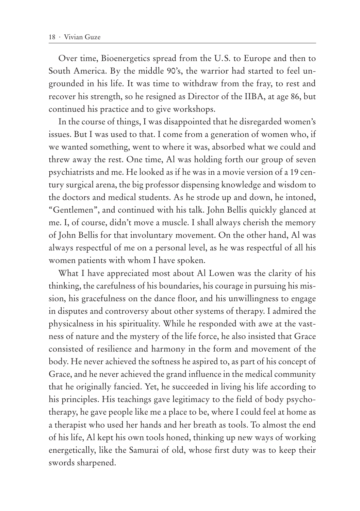Over time, Bioenergetics spread from the U.S. to Europe and then to South America. By the middle 90's, the warrior had started to feel ungrounded in his life. It was time to withdraw from the fray, to rest and recover his strength, so he resigned as Director of the IIBA, at age 86, but continued his practice and to give workshops.

In the course of things, I was disappointed that he disregarded women's issues. But I was used to that. I come from a generation of women who, if we wanted something, went to where it was, absorbed what we could and threw away the rest. One time, Al was holding forth our group of seven psychiatrists and me. He looked as if he was in a movie version of a 19 century surgical arena, the big professor dispensing knowledge and wisdom to the doctors and medical students. As he strode up and down, he intoned, "Gentlemen", and continued with his talk. John Bellis quickly glanced at me. I, of course, didn't move a muscle. I shall always cherish the memory of John Bellis for that involuntary movement. On the other hand, Al was always respectful of me on a personal level, as he was respectful of all his women patients with whom I have spoken.

What I have appreciated most about Al Lowen was the clarity of his thinking, the carefulness of his boundaries, his courage in pursuing his mission, his gracefulness on the dance floor, and his unwillingness to engage in disputes and controversy about other systems of therapy. I admired the physicalness in his spirituality. While he responded with awe at the vastness of nature and the mystery of the life force, he also insisted that Grace consisted of resilience and harmony in the form and movement of the body. He never achieved the softness he aspired to, as part of his concept of Grace, and he never achieved the grand influence in the medical community that he originally fancied. Yet, he succeeded in living his life according to his principles. His teachings gave legitimacy to the field of body psychotherapy, he gave people like me a place to be, where I could feel at home as a therapist who used her hands and her breath as tools. To almost the end of his life, Al kept his own tools honed, thinking up new ways of working energetically, like the Samurai of old, whose first duty was to keep their swords sharpened.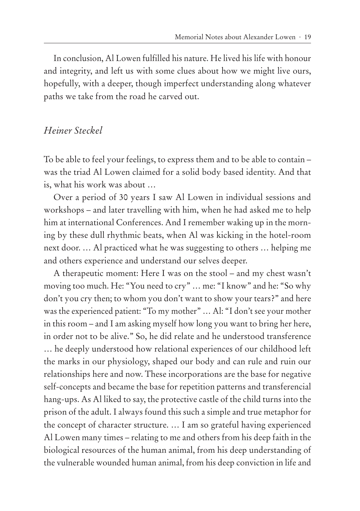In conclusion, Al Lowen fulfilled his nature. He lived his life with honour and integrity, and left us with some clues about how we might live ours, hopefully, with a deeper, though imperfect understanding along whatever paths we take from the road he carved out.

#### *Heiner Steckel*

To be able to feel your feelings, to express them and to be able to contain – was the triad Al Lowen claimed for a solid body based identity. And that is, what his work was about …

Over a period of 30 years I saw Al Lowen in individual sessions and workshops – and later travelling with him, when he had asked me to help him at international Conferences. And I remember waking up in the morning by these dull rhythmic beats, when Al was kicking in the hotel-room next door. … Al practiced what he was suggesting to others … helping me and others experience and understand our selves deeper.

A therapeutic moment: Here I was on the stool – and my chest wasn't moving too much. He: "You need to cry" … me: "I know" and he: "So why don't you cry then; to whom you don't want to show your tears?" and here was the experienced patient: "To my mother" … Al: "I don't see your mother in this room – and I am asking myself how long you want to bring her here, in order not to be alive." So, he did relate and he understood transference … he deeply understood how relational experiences of our childhood left the marks in our physiology, shaped our body and can rule and ruin our relationships here and now. These incorporations are the base for negative self-concepts and became the base for repetition patterns and transferencial hang-ups. As Al liked to say, the protective castle of the child turns into the prison of the adult. I always found this such a simple and true metaphor for the concept of character structure. … I am so grateful having experienced Al Lowen many times – relating to me and others from his deep faith in the biological resources of the human animal, from his deep understanding of the vulnerable wounded human animal, from his deep conviction in life and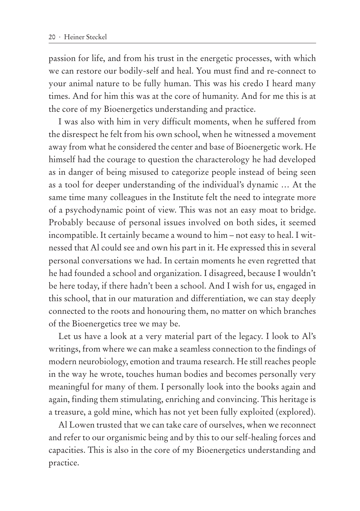passion for life, and from his trust in the energetic processes, with which we can restore our bodily-self and heal. You must find and re-connect to your animal nature to be fully human. This was his credo I heard many times. And for him this was at the core of humanity. And for me this is at the core of my Bioenergetics understanding and practice.

I was also with him in very difficult moments, when he suffered from the disrespect he felt from his own school, when he witnessed a movement away from what he considered the center and base of Bioenergetic work. He himself had the courage to question the characterology he had developed as in danger of being misused to categorize people instead of being seen as a tool for deeper understanding of the individual's dynamic … At the same time many colleagues in the Institute felt the need to integrate more of a psychodynamic point of view. This was not an easy moat to bridge. Probably because of personal issues involved on both sides, it seemed incompatible. It certainly became a wound to him – not easy to heal. I witnessed that Al could see and own his part in it. He expressed this in several personal conversations we had. In certain moments he even regretted that he had founded a school and organization. I disagreed, because I wouldn't be here today, if there hadn't been a school. And I wish for us, engaged in this school, that in our maturation and differentiation, we can stay deeply connected to the roots and honouring them, no matter on which branches of the Bioenergetics tree we may be.

Let us have a look at a very material part of the legacy. I look to Al's writings, from where we can make a seamless connection to the findings of modern neurobiology, emotion and trauma research. He still reaches people in the way he wrote, touches human bodies and becomes personally very meaningful for many of them. I personally look into the books again and again, finding them stimulating, enriching and convincing. This heritage is a treasure, a gold mine, which has not yet been fully exploited (explored).

Al Lowen trusted that we can take care of ourselves, when we reconnect and refer to our organismic being and by this to our self-healing forces and capacities. This is also in the core of my Bioenergetics understanding and practice.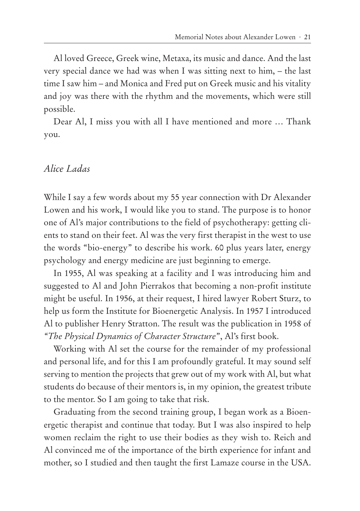Al loved Greece, Greek wine, Metaxa, its music and dance. And the last very special dance we had was when I was sitting next to him, – the last time I saw him – and Monica and Fred put on Greek music and his vitality and joy was there with the rhythm and the movements, which were still possible.

Dear Al, I miss you with all I have mentioned and more … Thank you.

#### *Alice Ladas*

While I say a few words about my 55 year connection with Dr Alexander Lowen and his work, I would like you to stand. The purpose is to honor one of Al's major contributions to the field of psychotherapy: getting clients to stand on their feet. Al was the very first therapist in the west to use the words "bio-energy" to describe his work. 60 plus years later, energy psychology and energy medicine are just beginning to emerge.

In 1955, Al was speaking at a facility and I was introducing him and suggested to Al and John Pierrakos that becoming a non-profit institute might be useful. In 1956, at their request, I hired lawyer Robert Sturz, to help us form the Institute for Bioenergetic Analysis. In 1957 I introduced Al to publisher Henry Stratton. The result was the publication in 1958 of *"The Physical Dynamics of Character Structure*", Al's first book.

Working with Al set the course for the remainder of my professional and personal life, and for this I am profoundly grateful. It may sound self serving to mention the projects that grew out of my work with Al, but what students do because of their mentors is, in my opinion, the greatest tribute to the mentor. So I am going to take that risk.

Graduating from the second training group, I began work as a Bioenergetic therapist and continue that today. But I was also inspired to help women reclaim the right to use their bodies as they wish to. Reich and Al convinced me of the importance of the birth experience for infant and mother, so I studied and then taught the first Lamaze course in the USA.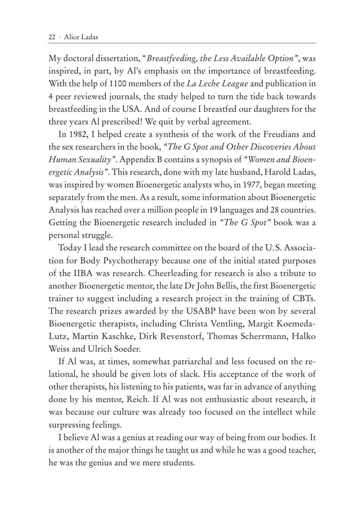My doctoral dissertation, "*Breastfeeding, the Less Available Option"*, was inspired, in part, by Al's emphasis on the importance of breastfeeding. With the help of 1100 members of the *La Leche League* and publication in 4 peer reviewed journals, the study helped to turn the tide back towards breastfeeding in the USA. And of course I breastfed our daughters for the three years Al prescribed! We quit by verbal agreement.

In 1982, I helped create a synthesis of the work of the Freudians and the sex researchers in the book, *"The G Spot and Other Discoveries About Human Sexuality"*. Appendix B contains a synopsis of *"Women and Bioenergetic Analysis"*. This research, done with my late husband, Harold Ladas, was inspired by women Bioenergetic analysts who, in 1977, began meeting separately from the men. As a result, some information about Bioenergetic Analysis has reached over a million people in 19 languages and 28 countries. Getting the Bioenergetic research included in *"The G Spot"* book was a personal struggle.

Today I lead the research committee on the board of the U.S. Association for Body Psychotherapy because one of the initial stated purposes of the IIBA was research. Cheerleading for research is also a tribute to another Bioenergetic mentor, the late Dr John Bellis, the first Bioenergetic trainer to suggest including a research project in the training of CBTs. The research prizes awarded by the USABP have been won by several Bioenergetic therapists, including Christa Ventling, Margit Koemeda-Lutz, Martin Kaschke, Dirk Revenstorf, Thomas Scherrmann, Halko Weiss and Ulrich Soeder.

If Al was, at times, somewhat patriarchal and less focused on the relational, he should be given lots of slack. His acceptance of the work of other therapists, his listening to his patients, was far in advance of anything done by his mentor, Reich. If Al was not enthusiastic about research, it was because our culture was already too focused on the intellect while surpressing feelings.

I believe Al was a genius at reading our way of being from our bodies. It is another of the major things he taught us and while he was a good teacher, he was the genius and we mere students.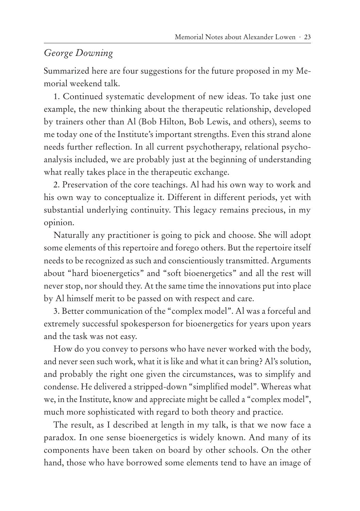### *George Downing*

Summarized here are four suggestions for the future proposed in my Memorial weekend talk.

1. Continued systematic development of new ideas. To take just one example, the new thinking about the therapeutic relationship, developed by trainers other than Al (Bob Hilton, Bob Lewis, and others), seems to me today one of the Institute's important strengths. Even this strand alone needs further reflection. In all current psychotherapy, relational psychoanalysis included, we are probably just at the beginning of understanding what really takes place in the therapeutic exchange.

2. Preservation of the core teachings. Al had his own way to work and his own way to conceptualize it. Different in different periods, yet with substantial underlying continuity. This legacy remains precious, in my opinion.

Naturally any practitioner is going to pick and choose. She will adopt some elements of this repertoire and forego others. But the repertoire itself needs to be recognized as such and conscientiously transmitted. Arguments about "hard bioenergetics" and "soft bioenergetics" and all the rest will never stop, nor should they. At the same time the innovations put into place by Al himself merit to be passed on with respect and care.

3. Better communication of the "complex model". Al was a forceful and extremely successful spokesperson for bioenergetics for years upon years and the task was not easy.

How do you convey to persons who have never worked with the body, and never seen such work, what it is like and what it can bring? Al's solution, and probably the right one given the circumstances, was to simplify and condense. He delivered a stripped-down "simplified model". Whereas what we, in the Institute, know and appreciate might be called a "complex model", much more sophisticated with regard to both theory and practice.

The result, as I described at length in my talk, is that we now face a paradox. In one sense bioenergetics is widely known. And many of its components have been taken on board by other schools. On the other hand, those who have borrowed some elements tend to have an image of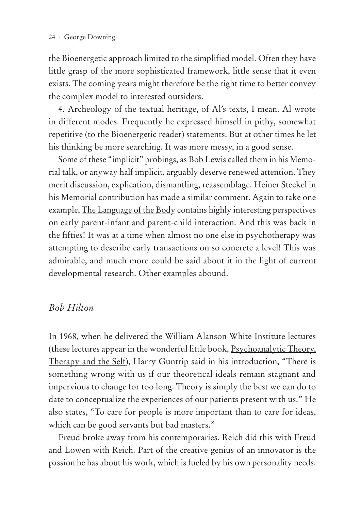the Bioenergetic approach limited to the simplified model. Often they have little grasp of the more sophisticated framework, little sense that it even exists. The coming years might therefore be the right time to better convey the complex model to interested outsiders.

4. Archeology of the textual heritage, of Al's texts, I mean. Al wrote in different modes. Frequently he expressed himself in pithy, somewhat repetitive (to the Bioenergetic reader) statements. But at other times he let his thinking be more searching. It was more messy, in a good sense.

Some of these "implicit" probings, as Bob Lewis called them in his Memorial talk, or anyway half implicit, arguably deserve renewed attention. They merit discussion, explication, dismantling, reassemblage. Heiner Steckel in his Memorial contribution has made a similar comment. Again to take one example, The Language of the Body contains highly interesting perspectives on early parent-infant and parent-child interaction. And this was back in the fifties! It was at a time when almost no one else in psychotherapy was attempting to describe early transactions on so concrete a level! This was admirable, and much more could be said about it in the light of current developmental research. Other examples abound.

#### *Bob Hilton*

In 1968, when he delivered the William Alanson White Institute lectures (these lectures appear in the wonderful little book, Psychoanalytic Theory, Therapy and the Self), Harry Guntrip said in his introduction, "There is something wrong with us if our theoretical ideals remain stagnant and impervious to change for too long. Theory is simply the best we can do to date to conceptualize the experiences of our patients present with us." He also states, "To care for people is more important than to care for ideas, which can be good servants but bad masters."

Freud broke away from his contemporaries. Reich did this with Freud and Lowen with Reich. Part of the creative genius of an innovator is the passion he has about his work, which is fueled by his own personality needs.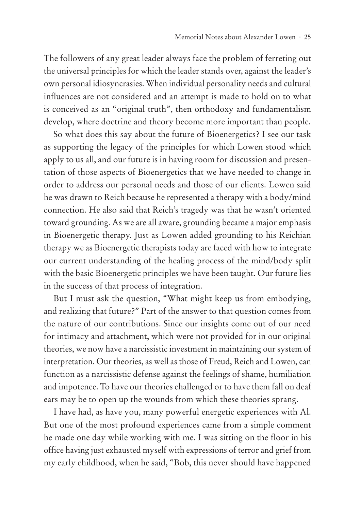The followers of any great leader always face the problem of ferreting out the universal principles for which the leader stands over, against the leader's own personal idiosyncrasies. When individual personality needs and cultural influences are not considered and an attempt is made to hold on to what is conceived as an "original truth", then orthodoxy and fundamentalism develop, where doctrine and theory become more important than people.

So what does this say about the future of Bioenergetics? I see our task as supporting the legacy of the principles for which Lowen stood which apply to us all, and our future is in having room for discussion and presentation of those aspects of Bioenergetics that we have needed to change in order to address our personal needs and those of our clients. Lowen said he was drawn to Reich because he represented a therapy with a body/mind connection. He also said that Reich's tragedy was that he wasn't oriented toward grounding. As we are all aware, grounding became a major emphasis in Bioenergetic therapy. Just as Lowen added grounding to his Reichian therapy we as Bioenergetic therapists today are faced with how to integrate our current understanding of the healing process of the mind/body split with the basic Bioenergetic principles we have been taught. Our future lies in the success of that process of integration.

But I must ask the question, "What might keep us from embodying, and realizing that future?" Part of the answer to that question comes from the nature of our contributions. Since our insights come out of our need for intimacy and attachment, which were not provided for in our original theories, we now have a narcissistic investment in maintaining our system of interpretation. Our theories, as well as those of Freud, Reich and Lowen, can function as a narcissistic defense against the feelings of shame, humiliation and impotence. To have our theories challenged or to have them fall on deaf ears may be to open up the wounds from which these theories sprang.

I have had, as have you, many powerful energetic experiences with Al. But one of the most profound experiences came from a simple comment he made one day while working with me. I was sitting on the floor in his office having just exhausted myself with expressions of terror and grief from my early childhood, when he said, "Bob, this never should have happened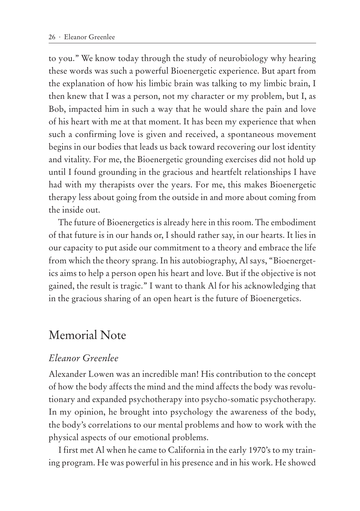to you." We know today through the study of neurobiology why hearing these words was such a powerful Bioenergetic experience. But apart from the explanation of how his limbic brain was talking to my limbic brain, I then knew that I was a person, not my character or my problem, but I, as Bob, impacted him in such a way that he would share the pain and love of his heart with me at that moment. It has been my experience that when such a confirming love is given and received, a spontaneous movement begins in our bodies that leads us back toward recovering our lost identity and vitality. For me, the Bioenergetic grounding exercises did not hold up until I found grounding in the gracious and heartfelt relationships I have had with my therapists over the years. For me, this makes Bioenergetic therapy less about going from the outside in and more about coming from the inside out.

The future of Bioenergetics is already here in this room. The embodiment of that future is in our hands or, I should rather say, in our hearts. It lies in our capacity to put aside our commitment to a theory and embrace the life from which the theory sprang. In his autobiography, Al says, "Bioenergetics aims to help a person open his heart and love. But if the objective is not gained, the result is tragic." I want to thank Al for his acknowledging that in the gracious sharing of an open heart is the future of Bioenergetics.

## Memorial Note

### *Eleanor Greenlee*

Alexander Lowen was an incredible man! His contribution to the concept of how the body affects the mind and the mind affects the body was revolutionary and expanded psychotherapy into psycho-somatic psychotherapy. In my opinion, he brought into psychology the awareness of the body, the body's correlations to our mental problems and how to work with the physical aspects of our emotional problems.

I first met Al when he came to California in the early 1970's to my training program. He was powerful in his presence and in his work. He showed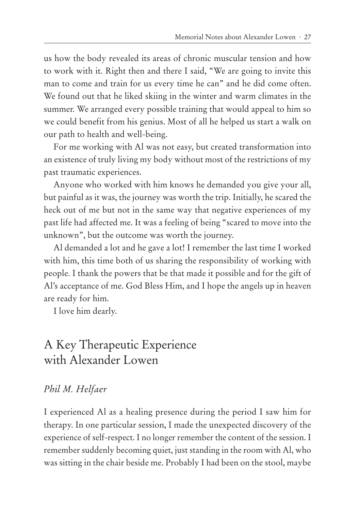us how the body revealed its areas of chronic muscular tension and how to work with it. Right then and there I said, "We are going to invite this man to come and train for us every time he can" and he did come often. We found out that he liked skiing in the winter and warm climates in the summer. We arranged every possible training that would appeal to him so we could benefit from his genius. Most of all he helped us start a walk on our path to health and well-being.

For me working with Al was not easy, but created transformation into an existence of truly living my body without most of the restrictions of my past traumatic experiences.

Anyone who worked with him knows he demanded you give your all, but painful as it was, the journey was worth the trip. Initially, he scared the heck out of me but not in the same way that negative experiences of my past life had affected me. It was a feeling of being "scared to move into the unknown", but the outcome was worth the journey.

Al demanded a lot and he gave a lot! I remember the last time I worked with him, this time both of us sharing the responsibility of working with people. I thank the powers that be that made it possible and for the gift of Al's acceptance of me. God Bless Him, and I hope the angels up in heaven are ready for him.

I love him dearly.

# A Key Therapeutic Experience with Alexander Lowen

#### *Phil M. Helfaer*

I experienced Al as a healing presence during the period I saw him for therapy. In one particular session, I made the unexpected discovery of the experience of self-respect. I no longer remember the content of the session. I remember suddenly becoming quiet, just standing in the room with Al, who was sitting in the chair beside me. Probably I had been on the stool, maybe